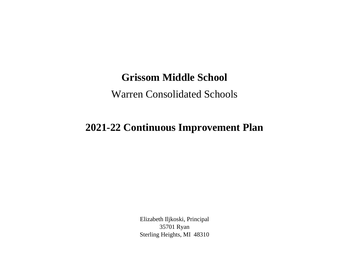## **Grissom Middle School**

## Warren Consolidated Schools

## **2021-22 Continuous Improvement Plan**

Elizabeth Iljkoski, Principal 35701 Ryan Sterling Heights, MI 48310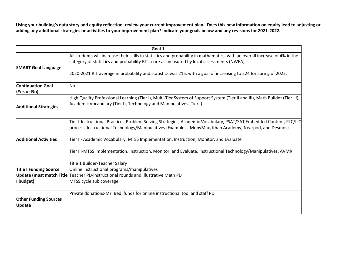**Using your building's data story and equity reflection, review your current improvement plan. Does this new information on equity lead to adjusting or adding any additional strategies or activities to your improvement plan? Indicate your goals below and any revisions for 2021-2022.**

|                                               | Goal 1                                                                                                                                                                                                                                                                                                                                        |  |  |
|-----------------------------------------------|-----------------------------------------------------------------------------------------------------------------------------------------------------------------------------------------------------------------------------------------------------------------------------------------------------------------------------------------------|--|--|
| <b>SMART Goal Language</b>                    | All students will increase their skills in statistics and probability in mathematics, with an overall increase of 4% in the<br>category of statistics and probability RIT score as measured by local assessments (NWEA).<br>2020-2021 RIT average in probability and statistics was 215, with a goal of increasing to 224 for spring of 2022. |  |  |
| <b>Continuation Goal</b><br>(Yes or No)       | No                                                                                                                                                                                                                                                                                                                                            |  |  |
| <b>Additional Strategies</b>                  | High Quality Professional Learning (Tier I), Multi-Tier System of Support System (Tier II and III), Math Builder (Tier III),<br>Academic Vocabulary (Tier I), Technology and Manipulatives (Tier I)                                                                                                                                           |  |  |
| <b>Additional Activities</b>                  | Tier I-Instructional Practices-Problem Solving Strategies, Academic Vocabulary, PSAT/SAT Embedded Content, PLC/ILC<br>process, Instructional Technology/Manipulatives (Examples: MobyMax, Khan Academy, Nearpod, and Desmos)                                                                                                                  |  |  |
|                                               | Tier II- Academic Vocabulary, MTSS Implementation, Instruction, Monitor, and Evaluate                                                                                                                                                                                                                                                         |  |  |
|                                               | Tier III-MTSS Implementation, Instruction, Monitor, and Evaluate, Instructional Technology/Manipulatives, AVMR                                                                                                                                                                                                                                |  |  |
|                                               | Title 1 Builder-Teacher Salary                                                                                                                                                                                                                                                                                                                |  |  |
| <b>Title I Funding Source</b>                 | Online instructional programs/manipulatives                                                                                                                                                                                                                                                                                                   |  |  |
|                                               | Update (must match Title Teacher PD-instructional rounds and Illustrative Math PD                                                                                                                                                                                                                                                             |  |  |
| I budget)                                     | MTSS cycle sub coverage                                                                                                                                                                                                                                                                                                                       |  |  |
|                                               | Private donations-Mr. Bedi funds for online instructional tool and staff PD                                                                                                                                                                                                                                                                   |  |  |
| <b>Other Funding Sources</b><br><b>Update</b> |                                                                                                                                                                                                                                                                                                                                               |  |  |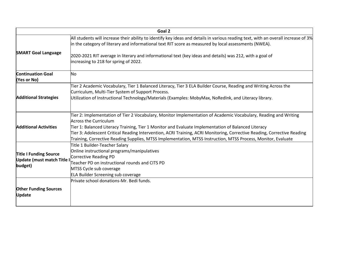|                                                                             | Goal 2                                                                                                                                                                                                                                                                                                                                                                                                                                                                                              |
|-----------------------------------------------------------------------------|-----------------------------------------------------------------------------------------------------------------------------------------------------------------------------------------------------------------------------------------------------------------------------------------------------------------------------------------------------------------------------------------------------------------------------------------------------------------------------------------------------|
| <b>SMART Goal Language</b>                                                  | All students will increase their ability to identify key ideas and details in various reading text, with an overall increase of 3%<br>in the category of literary and informational text RIT score as measured by local assessments (NWEA).                                                                                                                                                                                                                                                         |
|                                                                             | 2020-2021 RIT average in literary and informational text (key ideas and details) was 212, with a goal of<br>increasing to 218 for spring of 2022.                                                                                                                                                                                                                                                                                                                                                   |
| <b>Continuation Goal</b><br>(Yes or No)                                     | No                                                                                                                                                                                                                                                                                                                                                                                                                                                                                                  |
| <b>Additional Strategies</b>                                                | Tier 2 Academic Vocabulary, Tier 1 Balanced Literacy, Tier 3 ELA Builder Course, Reading and Writing Across the<br>Curriculum, Multi-Tier System of Support Process.                                                                                                                                                                                                                                                                                                                                |
|                                                                             | Utilization of Instructional Technology/Materials (Examples: MobyMax, NoRedInk, and Literacy library.                                                                                                                                                                                                                                                                                                                                                                                               |
| <b>Additional Activities</b>                                                | Tier 2: Implementation of Tier 2 Vocabulary, Monitor Implementation of Academic Vocabulary, Reading and Writing<br><b>Across the Curriculum</b><br>Tier 1: Balanced Literacy Training, Tier 1 Monitor and Evaluate Implementation of Balanced Literacy<br>Tier 3: Adolescent Critical Reading Intervention, ACRI Training, ACRI Monitoring, Corrective Reading, Corrective Reading<br>Training, Corrective Reading Supplies, MTSS Implementation, MTSS Instruction, MTSS Process, Monitor, Evaluate |
| <b>Title I Funding Source</b><br><b>Update (must match Title</b><br>budget) | Title 1 Builder-Teacher Salary<br>Online instructional programs/manipulatives<br>Corrective Reading PD<br>Teacher PD on instructional rounds and CITS PD<br>MTSS Cycle sub coverage<br><b>ELA Builder Screening sub coverage</b>                                                                                                                                                                                                                                                                    |
| <b>Other Funding Sources</b><br><b>Update</b>                               | Private school donations-Mr. Bedi funds.                                                                                                                                                                                                                                                                                                                                                                                                                                                            |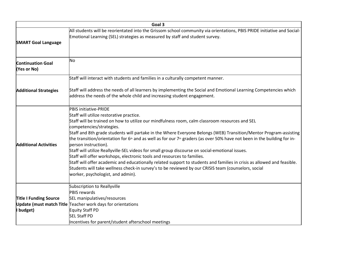| Goal 3                                  |                                                                                                                                                                                                                                                                                                                                                                                                                                                                                                                                                                                                                                                                                                                                                                                                                                                                                                                                                       |  |
|-----------------------------------------|-------------------------------------------------------------------------------------------------------------------------------------------------------------------------------------------------------------------------------------------------------------------------------------------------------------------------------------------------------------------------------------------------------------------------------------------------------------------------------------------------------------------------------------------------------------------------------------------------------------------------------------------------------------------------------------------------------------------------------------------------------------------------------------------------------------------------------------------------------------------------------------------------------------------------------------------------------|--|
| <b>SMART Goal Language</b>              | All students will be reorientated into the Grissom school community via orientations, PBIS PRIDE initiative and Social-<br>Emotional Learning (SEL) strategies as measured by staff and student survey.                                                                                                                                                                                                                                                                                                                                                                                                                                                                                                                                                                                                                                                                                                                                               |  |
| <b>Continuation Goal</b><br>(Yes or No) | No                                                                                                                                                                                                                                                                                                                                                                                                                                                                                                                                                                                                                                                                                                                                                                                                                                                                                                                                                    |  |
|                                         | Staff will interact with students and families in a culturally competent manner.                                                                                                                                                                                                                                                                                                                                                                                                                                                                                                                                                                                                                                                                                                                                                                                                                                                                      |  |
| <b>Additional Strategies</b>            | Staff will address the needs of all learners by implementing the Social and Emotional Learning Competencies which<br>address the needs of the whole child and increasing student engagement.                                                                                                                                                                                                                                                                                                                                                                                                                                                                                                                                                                                                                                                                                                                                                          |  |
| <b>Additional Activities</b>            | PBIS initiative-PRIDE<br>Staff will utilize restorative practice.<br>Staff will be trained on how to utilize our mindfulness room, calm classroom resources and SEL<br>competencies/strategies.<br>Staff and 8th grade students will partake in the Where Everyone Belongs (WEB) Transition/Mentor Program-assisting<br>the transition/orientation for 6 <sup>th</sup> and as well as for our 7 <sup>th</sup> graders (as over 50% have not been in the building for in-<br>person instruction).<br>Staff will utilize Reallyville-SEL videos for small group discourse on social-emotional issues.<br>Staff will offer workshops, electronic tools and resources to families.<br>Staff will offer academic and educationally related support to students and families in crisis as allowed and feasible.<br>Students will take wellness check-in survey's to be reviewed by our CRISIS team (counselors, social<br>worker, psychologist, and admin). |  |
|                                         | Subscription to Reallyville                                                                                                                                                                                                                                                                                                                                                                                                                                                                                                                                                                                                                                                                                                                                                                                                                                                                                                                           |  |
|                                         | <b>PBIS rewards</b>                                                                                                                                                                                                                                                                                                                                                                                                                                                                                                                                                                                                                                                                                                                                                                                                                                                                                                                                   |  |
| <b>Title I Funding Source</b>           | SEL manipulatives/resources                                                                                                                                                                                                                                                                                                                                                                                                                                                                                                                                                                                                                                                                                                                                                                                                                                                                                                                           |  |
|                                         | Update (must match Title Teacher work days for orientations                                                                                                                                                                                                                                                                                                                                                                                                                                                                                                                                                                                                                                                                                                                                                                                                                                                                                           |  |
| I budget)                               | Equity Staff PD                                                                                                                                                                                                                                                                                                                                                                                                                                                                                                                                                                                                                                                                                                                                                                                                                                                                                                                                       |  |
|                                         | <b>SEL Staff PD</b>                                                                                                                                                                                                                                                                                                                                                                                                                                                                                                                                                                                                                                                                                                                                                                                                                                                                                                                                   |  |
|                                         | Incentives for parent/student afterschool meetings                                                                                                                                                                                                                                                                                                                                                                                                                                                                                                                                                                                                                                                                                                                                                                                                                                                                                                    |  |